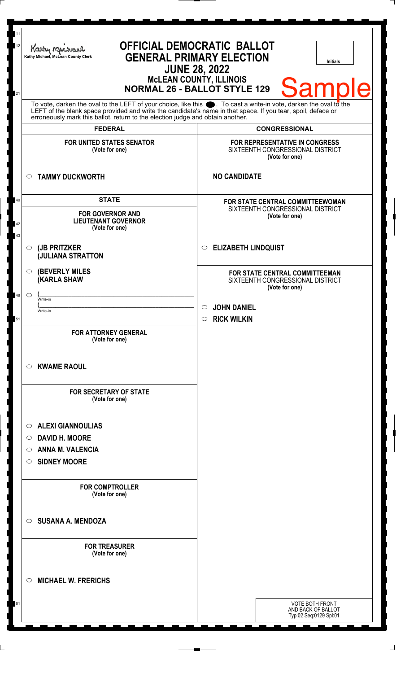| 12                                                                                                                                                                                                                                                                                                                     | <b>OFFICIAL DEMOCRATIC BALLOT</b><br>Kathy M<br><b>GENERAL PRIMARY ELECTION</b><br>Kathy Michael, McLean County Clerk<br>Initials<br><b>JUNE 28, 2022</b> |                                                                                        |
|------------------------------------------------------------------------------------------------------------------------------------------------------------------------------------------------------------------------------------------------------------------------------------------------------------------------|-----------------------------------------------------------------------------------------------------------------------------------------------------------|----------------------------------------------------------------------------------------|
| 21                                                                                                                                                                                                                                                                                                                     | <b>MCLEAN COUNTY, ILLINOIS</b><br><b>Sample</b><br><b>NORMAL 26 - BALLOT STYLE 129</b>                                                                    |                                                                                        |
| To vote, darken the oval to the LEFT of your choice, like this $\bullet$ . To cast a write-in vote, darken the oval to the LEFT of the blank space provided and write the candidate's name in that space. If you tear, spoil, deface<br>erroneously mark this ballot, return to the election judge and obtain another. |                                                                                                                                                           |                                                                                        |
|                                                                                                                                                                                                                                                                                                                        | <b>FEDERAL</b>                                                                                                                                            | <b>CONGRESSIONAL</b>                                                                   |
|                                                                                                                                                                                                                                                                                                                        | <b>FOR UNITED STATES SENATOR</b><br>(Vote for one)                                                                                                        | FOR REPRESENTATIVE IN CONGRESS<br>SIXTEENTH CONGRESSIONAL DISTRICT<br>(Vote for one)   |
|                                                                                                                                                                                                                                                                                                                        | <b>TAMMY DUCKWORTH</b><br>$\circ$                                                                                                                         | <b>NO CANDIDATE</b>                                                                    |
| 40<br>42<br>43                                                                                                                                                                                                                                                                                                         | <b>STATE</b><br><b>FOR GOVERNOR AND</b><br><b>LIEUTENANT GOVERNOR</b><br>(Vote for one)                                                                   | FOR STATE CENTRAL COMMITTEEWOMAN<br>SIXTEENTH CONGRESSIONAL DISTRICT<br>(Vote for one) |
|                                                                                                                                                                                                                                                                                                                        | (JB PRITZKER<br>$\circ$<br><b>JULIANA STRATTON</b>                                                                                                        | <b>ELIZABETH LINDQUIST</b><br>$\circ$                                                  |
|                                                                                                                                                                                                                                                                                                                        | <b>(BEVERLY MILES)</b><br>$\circ$<br><b>(KARLA SHAW</b>                                                                                                   | FOR STATE CENTRAL COMMITTEEMAN<br>SIXTEENTH CONGRESSIONAL DISTRICT<br>(Vote for one)   |
| 48                                                                                                                                                                                                                                                                                                                     | $\circ$<br>Write-in                                                                                                                                       |                                                                                        |
| 51                                                                                                                                                                                                                                                                                                                     | Write-in                                                                                                                                                  | <b>JOHN DANIEL</b><br><b>RICK WILKIN</b><br>$\circ$                                    |
|                                                                                                                                                                                                                                                                                                                        | <b>FOR ATTORNEY GENERAL</b><br>(Vote for one)                                                                                                             |                                                                                        |
|                                                                                                                                                                                                                                                                                                                        | <b>KWAME RAOUL</b><br>$\circ$                                                                                                                             |                                                                                        |
|                                                                                                                                                                                                                                                                                                                        | <b>FOR SECRETARY OF STATE</b><br>(Vote for one)                                                                                                           |                                                                                        |
|                                                                                                                                                                                                                                                                                                                        | <b>ALEXI GIANNOULIAS</b><br>$\circ$                                                                                                                       |                                                                                        |
|                                                                                                                                                                                                                                                                                                                        | <b>DAVID H. MOORE</b><br>$\circlearrowright$                                                                                                              |                                                                                        |
|                                                                                                                                                                                                                                                                                                                        | <b>ANNA M. VALENCIA</b><br>$\circ$                                                                                                                        |                                                                                        |
|                                                                                                                                                                                                                                                                                                                        | <b>SIDNEY MOORE</b><br>$\circ$                                                                                                                            |                                                                                        |
|                                                                                                                                                                                                                                                                                                                        | <b>FOR COMPTROLLER</b><br>(Vote for one)                                                                                                                  |                                                                                        |
|                                                                                                                                                                                                                                                                                                                        | <b>SUSANA A. MENDOZA</b><br>$\circ$                                                                                                                       |                                                                                        |
|                                                                                                                                                                                                                                                                                                                        | <b>FOR TREASURER</b><br>(Vote for one)                                                                                                                    |                                                                                        |
|                                                                                                                                                                                                                                                                                                                        | <b>MICHAEL W. FRERICHS</b><br>$\circ$                                                                                                                     |                                                                                        |
| 61                                                                                                                                                                                                                                                                                                                     |                                                                                                                                                           | VOTE BOTH FRONT<br>AND BACK OF BALLOT<br>Typ:02 Seq:0129 Spl:01                        |